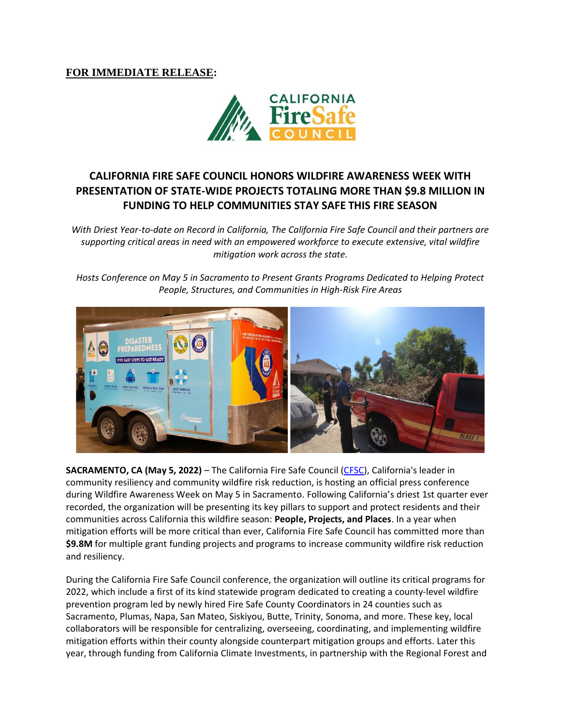## **FOR IMMEDIATE RELEASE:**



# **CALIFORNIA FIRE SAFE COUNCIL HONORS WILDFIRE AWARENESS WEEK WITH PRESENTATION OF STATE-WIDE PROJECTS TOTALING MORE THAN \$9.8 MILLION IN FUNDING TO HELP COMMUNITIES STAY SAFE THIS FIRE SEASON**

*With Driest Year-to-date on Record in California, The California Fire Safe Council and their partners are supporting critical areas in need with an empowered workforce to execute extensive, vital wildfire mitigation work across the state.*

*Hosts Conference on May 5 in Sacramento to Present Grants Programs Dedicated to Helping Protect People, Structures, and Communities in High-Risk Fire Areas*



**SACRAMENTO, CA (May 5, 2022)** – The California Fire Safe Council [\(CFSC\)](https://cafiresafecouncil.org/), California's leader in community resiliency and community wildfire risk reduction, is hosting an official press conference during Wildfire Awareness Week on May 5 in Sacramento. Following California's driest 1st quarter ever recorded, the organization will be presenting its key pillars to support and protect residents and their communities across California this wildfire season: **People, Projects, and Places**. In a year when mitigation efforts will be more critical than ever, California Fire Safe Council has committed more than **\$9.8M** for multiple grant funding projects and programs to increase community wildfire risk reduction and resiliency.

During the California Fire Safe Council conference, the organization will outline its critical programs for 2022, which include a first of its kind statewide program dedicated to creating a county-level wildfire prevention program led by newly hired Fire Safe County Coordinators in 24 counties such as Sacramento, Plumas, Napa, San Mateo, Siskiyou, Butte, Trinity, Sonoma, and more. These key, local collaborators will be responsible for centralizing, overseeing, coordinating, and implementing wildfire mitigation efforts within their county alongside counterpart mitigation groups and efforts. Later this year, through funding from California Climate Investments, in partnership with the Regional Forest and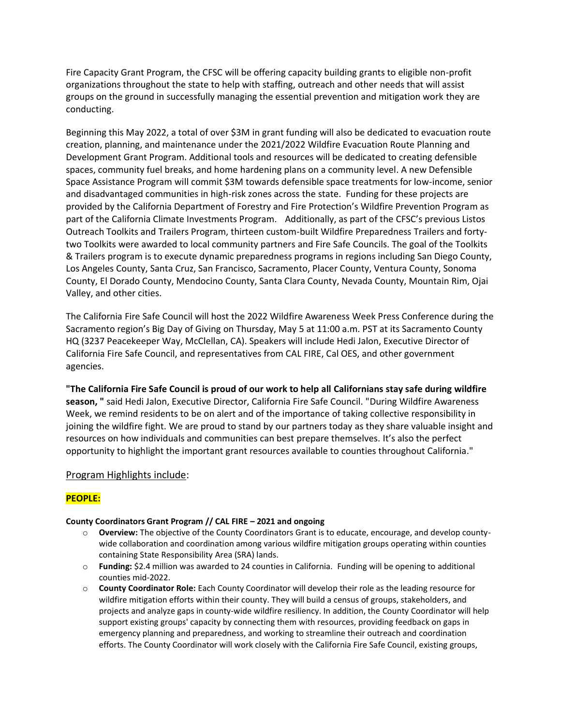Fire Capacity Grant Program, the CFSC will be offering capacity building grants to eligible non-profit organizations throughout the state to help with staffing, outreach and other needs that will assist groups on the ground in successfully managing the essential prevention and mitigation work they are conducting.

Beginning this May 2022, a total of over \$3M in grant funding will also be dedicated to evacuation route creation, planning, and maintenance under the 2021/2022 Wildfire Evacuation Route Planning and Development Grant Program. Additional tools and resources will be dedicated to creating defensible spaces, community fuel breaks, and home hardening plans on a community level. A new Defensible Space Assistance Program will commit \$3M towards defensible space treatments for low-income, senior and disadvantaged communities in high-risk zones across the state. Funding for these projects are provided by the California Department of Forestry and Fire Protection's Wildfire Prevention Program as part of the California Climate Investments Program. Additionally, as part of the CFSC's previous Listos Outreach Toolkits and Trailers Program, thirteen custom-built Wildfire Preparedness Trailers and fortytwo Toolkits were awarded to local community partners and Fire Safe Councils. The goal of the Toolkits & Trailers program is to execute dynamic preparedness programs in regions including San Diego County, Los Angeles County, Santa Cruz, San Francisco, Sacramento, Placer County, Ventura County, Sonoma County, El Dorado County, Mendocino County, Santa Clara County, Nevada County, Mountain Rim, Ojai Valley, and other cities.

The California Fire Safe Council will host the 2022 Wildfire Awareness Week Press Conference during the Sacramento region's Big Day of Giving on Thursday, May 5 at 11:00 a.m. PST at its Sacramento County HQ (3237 Peacekeeper Way, McClellan, CA). Speakers will include Hedi Jalon, Executive Director of California Fire Safe Council, and representatives from CAL FIRE, Cal OES, and other government agencies.

**"The California Fire Safe Council is proud of our work to help all Californians stay safe during wildfire season, "** said Hedi Jalon, Executive Director, California Fire Safe Council. "During Wildfire Awareness Week, we remind residents to be on alert and of the importance of taking collective responsibility in joining the wildfire fight. We are proud to stand by our partners today as they share valuable insight and resources on how individuals and communities can best prepare themselves. It's also the perfect opportunity to highlight the important grant resources available to counties throughout California."

### Program Highlights include:

### **PEOPLE:**

#### **County Coordinators Grant Program // CAL FIRE – 2021 and ongoing**

- o **Overview:** The objective of the County Coordinators Grant is to educate, encourage, and develop countywide collaboration and coordination among various wildfire mitigation groups operating within counties containing State Responsibility Area (SRA) lands.
- o **Funding:** \$2.4 million was awarded to 24 counties in California. Funding will be opening to additional counties mid-2022.
- o **County Coordinator Role:** Each County Coordinator will develop their role as the leading resource for wildfire mitigation efforts within their county. They will build a census of groups, stakeholders, and projects and analyze gaps in county-wide wildfire resiliency. In addition, the County Coordinator will help support existing groups' capacity by connecting them with resources, providing feedback on gaps in emergency planning and preparedness, and working to streamline their outreach and coordination efforts. The County Coordinator will work closely with the California Fire Safe Council, existing groups,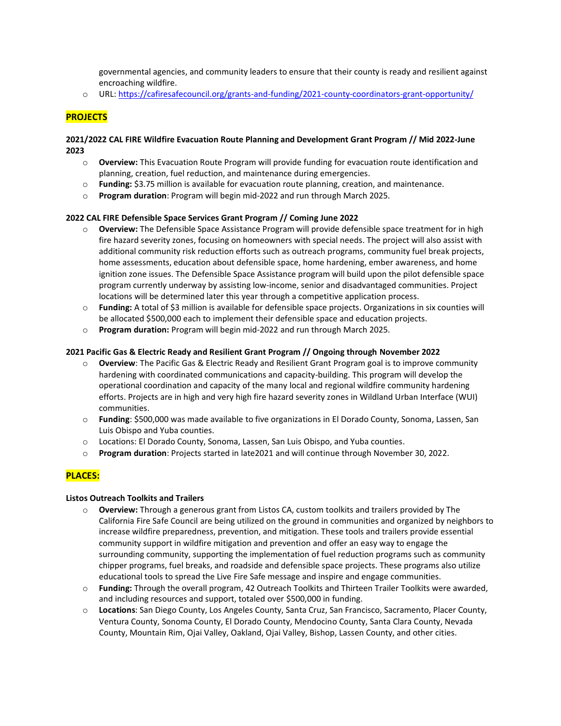governmental agencies, and community leaders to ensure that their county is ready and resilient against encroaching wildfire.

o URL:<https://cafiresafecouncil.org/grants-and-funding/2021-county-coordinators-grant-opportunity/>

### **PROJECTS**

#### **2021/2022 CAL FIRE Wildfire Evacuation Route Planning and Development Grant Program // Mid 2022-June 2023**

- o **Overview:** This Evacuation Route Program will provide funding for evacuation route identification and planning, creation, fuel reduction, and maintenance during emergencies.
- o **Funding:** \$3.75 million is available for evacuation route planning, creation, and maintenance.
- o **Program duration**: Program will begin mid-2022 and run through March 2025.

#### **2022 CAL FIRE Defensible Space Services Grant Program // Coming June 2022**

- **Overview:** The Defensible Space Assistance Program will provide defensible space treatment for in high fire hazard severity zones, focusing on homeowners with special needs. The project will also assist with additional community risk reduction efforts such as outreach programs, community fuel break projects, home assessments, education about defensible space, home hardening, ember awareness, and home ignition zone issues. The Defensible Space Assistance program will build upon the pilot defensible space program currently underway by assisting low-income, senior and disadvantaged communities. Project locations will be determined later this year through a competitive application process.
- o **Funding:** A total of \$3 million is available for defensible space projects. Organizations in six counties will be allocated \$500,000 each to implement their defensible space and education projects.
- o **Program duration:** Program will begin mid-2022 and run through March 2025.

#### **2021 Pacific Gas & Electric Ready and Resilient Grant Program // Ongoing through November 2022**

- o **Overview**: The Pacific Gas & Electric Ready and Resilient Grant Program goal is to improve community hardening with coordinated communications and capacity-building. This program will develop the operational coordination and capacity of the many local and regional wildfire community hardening efforts. Projects are in high and very high fire hazard severity zones in Wildland Urban Interface (WUI) communities.
- o **Funding**: \$500,000 was made available to five organizations in El Dorado County, Sonoma, Lassen, San Luis Obispo and Yuba counties.
- o Locations: El Dorado County, Sonoma, Lassen, San Luis Obispo, and Yuba counties.
- o **Program duration**: Projects started in late2021 and will continue through November 30, 2022.

### **PLACES:**

#### **Listos Outreach Toolkits and Trailers**

- o **Overview:** Through a generous grant from Listos CA, custom toolkits and trailers provided by The California Fire Safe Council are being utilized on the ground in communities and organized by neighbors to increase wildfire preparedness, prevention, and mitigation. These tools and trailers provide essential community support in wildfire mitigation and prevention and offer an easy way to engage the surrounding community, supporting the implementation of fuel reduction programs such as community chipper programs, fuel breaks, and roadside and defensible space projects. These programs also utilize educational tools to spread the Live Fire Safe message and inspire and engage communities.
- o **Funding:** Through the overall program, 42 Outreach Toolkits and Thirteen Trailer Toolkits were awarded, and including resources and support, totaled over \$500,000 in funding.
- o **Locations**: San Diego County, Los Angeles County, Santa Cruz, San Francisco, Sacramento, Placer County, Ventura County, Sonoma County, El Dorado County, Mendocino County, Santa Clara County, Nevada County, Mountain Rim, Ojai Valley, Oakland, Ojai Valley, Bishop, Lassen County, and other cities.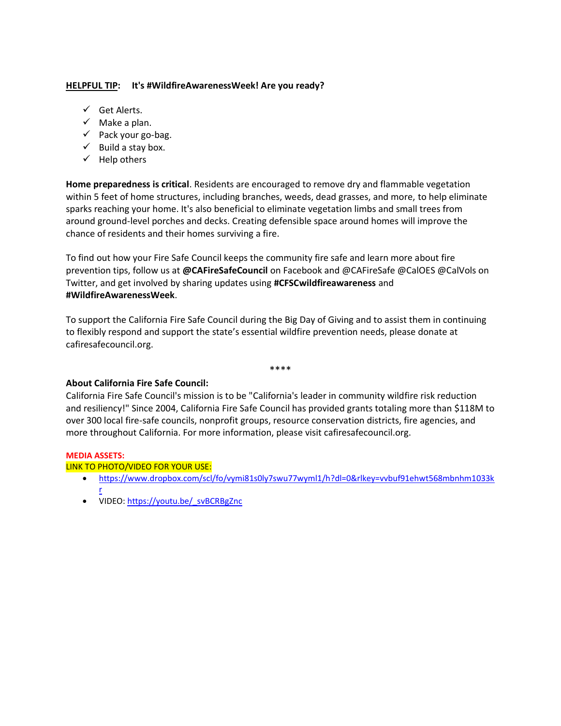### **HELPFUL TIP: It's #WildfireAwarenessWeek! Are you ready?**

- ✓ Get Alerts.
- $\checkmark$  Make a plan.
- $\checkmark$  Pack your go-bag.
- $\checkmark$  Build a stay box.
- $\checkmark$  Help others

**Home preparedness is critical**. Residents are encouraged to remove dry and flammable vegetation within 5 feet of home structures, including branches, weeds, dead grasses, and more, to help eliminate sparks reaching your home. It's also beneficial to eliminate vegetation limbs and small trees from around ground-level porches and decks. Creating defensible space around homes will improve the chance of residents and their homes surviving a fire.

To find out how your Fire Safe Council keeps the community fire safe and learn more about fire prevention tips, follow us at **@CAFireSafeCouncil** on Facebook and @CAFireSafe @CalOES @CalVols on Twitter, and get involved by sharing updates using **#CFSCwildfireawareness** and **#WildfireAwarenessWeek**.

To support the California Fire Safe Council during the Big Day of Giving and to assist them in continuing to flexibly respond and support the state's essential wildfire prevention needs, please donate at cafiresafecouncil.org.

#### \*\*\*\*

### **About California Fire Safe Council:**

California Fire Safe Council's mission is to be "California's leader in community wildfire risk reduction and resiliency!" Since 2004, California Fire Safe Council has provided grants totaling more than \$118M to over 300 local fire-safe councils, nonprofit groups, resource conservation districts, fire agencies, and more throughout California. For more information, please visit cafiresafecouncil.org.

#### **MEDIA ASSETS:**

#### LINK TO PHOTO/VIDEO FOR YOUR USE:

- [https://www.dropbox.com/scl/fo/vymi81s0ly7swu77wyml1/h?dl=0&rlkey=vvbuf91ehwt568mbnhm1033k](https://www.dropbox.com/scl/fo/vymi81s0ly7swu77wyml1/h?dl=0&rlkey=vvbuf91ehwt568mbnhm1033kr) [r](https://www.dropbox.com/scl/fo/vymi81s0ly7swu77wyml1/h?dl=0&rlkey=vvbuf91ehwt568mbnhm1033kr)
- VIDEO: [https://youtu.be/\\_svBCRBgZnc](https://youtu.be/_svBCRBgZnc)